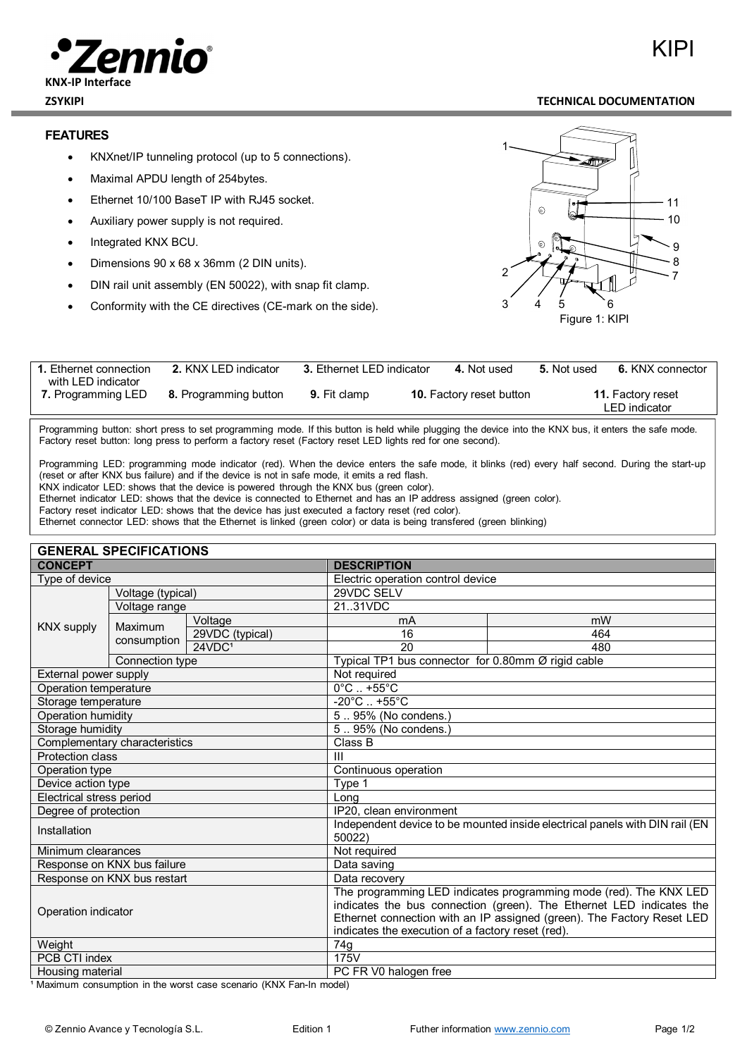# KIPI



#### **ZSYKIPI TECHNICAL DOCUMENTATION**

#### **FEATURES**

- KNXnet/IP tunneling protocol (up to 5 connections).
- Maximal APDU length of 254bytes.
- Ethernet 10/100 BaseT IP with RJ45 socket.
- Auxiliary power supply is not required.
- Integrated KNX BCU.
- Dimensions 90 x 68 x 36mm (2 DIN units).
- DIN rail unit assembly (EN 50022), with snap fit clamp.
- Conformity with the CE directives (CE-mark on the side).



| 1. Ethernet connection                   | 2. KNX LED indicator  | 3. Ethernet LED indicator | 4. Not used                     | 5. Not used | 6. KNX connector                          |
|------------------------------------------|-----------------------|---------------------------|---------------------------------|-------------|-------------------------------------------|
| with LED indicator<br>7. Programming LED | 8. Programming button | <b>9.</b> Fit clamp       | <b>10.</b> Factory reset button |             | <b>11. Factory reset</b><br>LED indicator |

Programming button: short press to set programming mode. If this button is held while plugging the device into the KNX bus, it enters the safe mode. Factory reset button: long press to perform a factory reset (Factory reset LED lights red for one second).

Programming LED: programming mode indicator (red). When the device enters the safe mode, it blinks (red) every half second. During the start-up (reset or after KNX bus failure) and if the device is not in safe mode, it emits a red flash.

KNX indicator LED: shows that the device is powered through the KNX bus (green color).

Ethernet indicator LED: shows that the device is connected to Ethernet and has an IP address assigned (green color).

Factory reset indicator LED: shows that the device has just executed a factory reset (red color).

Ethernet connector LED: shows that the Ethernet is linked (green color) or data is being transfered (green blinking)

| <b>GENERAL SPECIFICATIONS</b> |                        |                                                                                                                                                                                                                                                                          |                                                    |     |  |  |  |
|-------------------------------|------------------------|--------------------------------------------------------------------------------------------------------------------------------------------------------------------------------------------------------------------------------------------------------------------------|----------------------------------------------------|-----|--|--|--|
| <b>CONCEPT</b>                |                        | <b>DESCRIPTION</b>                                                                                                                                                                                                                                                       |                                                    |     |  |  |  |
| Type of device                |                        | Electric operation control device                                                                                                                                                                                                                                        |                                                    |     |  |  |  |
| Voltage (typical)             |                        |                                                                                                                                                                                                                                                                          | 29VDC SELV                                         |     |  |  |  |
| <b>KNX supply</b>             | Voltage range          |                                                                                                                                                                                                                                                                          | 2131VDC                                            |     |  |  |  |
|                               | Maximum<br>consumption | Voltage                                                                                                                                                                                                                                                                  | mA                                                 | mW  |  |  |  |
|                               |                        | 29VDC (typical)                                                                                                                                                                                                                                                          | 16                                                 | 464 |  |  |  |
|                               |                        | 24VDC <sup>1</sup>                                                                                                                                                                                                                                                       | 20                                                 | 480 |  |  |  |
|                               | Connection type        |                                                                                                                                                                                                                                                                          | Typical TP1 bus connector for 0.80mm Ø rigid cable |     |  |  |  |
| External power supply         |                        | Not required                                                                                                                                                                                                                                                             |                                                    |     |  |  |  |
| Operation temperature         |                        | $0^\circ \text{C}$ +55 $^\circ \text{C}$                                                                                                                                                                                                                                 |                                                    |     |  |  |  |
| Storage temperature           |                        | $-20^{\circ}$ C  +55 $^{\circ}$ C                                                                                                                                                                                                                                        |                                                    |     |  |  |  |
| Operation humidity            |                        | 595% (No condens.)                                                                                                                                                                                                                                                       |                                                    |     |  |  |  |
| Storage humidity              |                        | $\overline{5}$ 95% (No condens.)                                                                                                                                                                                                                                         |                                                    |     |  |  |  |
| Complementary characteristics |                        | Class B                                                                                                                                                                                                                                                                  |                                                    |     |  |  |  |
| Protection class              |                        | $\mathbf{III}$                                                                                                                                                                                                                                                           |                                                    |     |  |  |  |
| Operation type                |                        | Continuous operation                                                                                                                                                                                                                                                     |                                                    |     |  |  |  |
| Device action type            |                        | Type 1                                                                                                                                                                                                                                                                   |                                                    |     |  |  |  |
| Electrical stress period      |                        |                                                                                                                                                                                                                                                                          | Long                                               |     |  |  |  |
| Degree of protection          |                        | IP20, clean environment                                                                                                                                                                                                                                                  |                                                    |     |  |  |  |
| Installation                  |                        | Independent device to be mounted inside electrical panels with DIN rail (EN<br>50022)                                                                                                                                                                                    |                                                    |     |  |  |  |
| Minimum clearances            |                        | Not required                                                                                                                                                                                                                                                             |                                                    |     |  |  |  |
| Response on KNX bus failure   |                        | Data saving                                                                                                                                                                                                                                                              |                                                    |     |  |  |  |
| Response on KNX bus restart   |                        | Data recovery                                                                                                                                                                                                                                                            |                                                    |     |  |  |  |
| Operation indicator           |                        | The programming LED indicates programming mode (red). The KNX LED<br>indicates the bus connection (green). The Ethernet LED indicates the<br>Ethernet connection with an IP assigned (green). The Factory Reset LED<br>indicates the execution of a factory reset (red). |                                                    |     |  |  |  |
| Weight                        |                        |                                                                                                                                                                                                                                                                          | 74g                                                |     |  |  |  |
| PCB CTI index                 |                        | 175V                                                                                                                                                                                                                                                                     |                                                    |     |  |  |  |
| Housing motorial              |                        |                                                                                                                                                                                                                                                                          | DC ED VQ hologon from                              |     |  |  |  |

Housing material example of the extending properties of  $\vert$  PC FR V0 halogen free

<sup>1</sup> Maximum consumption in the worst case scenario (KNX Fan-In model)